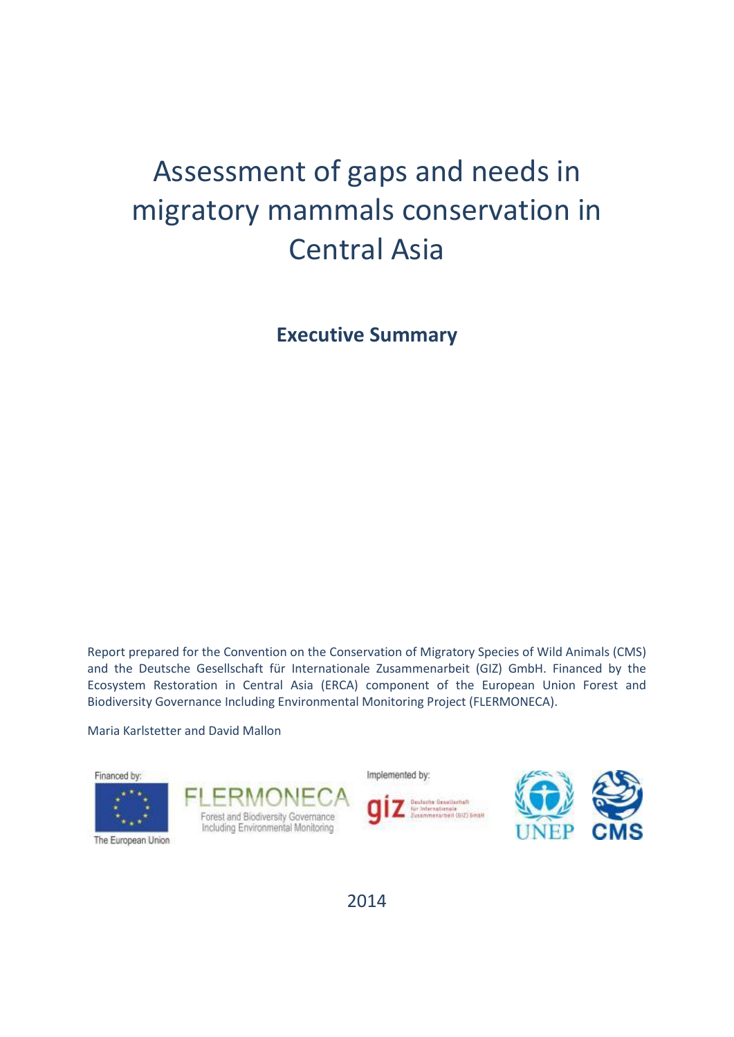# Assessment of gaps and needs in migratory mammals conservation in Central Asia

**Executive Summary**

Report prepared for the Convention on the Conservation of Migratory Species of Wild Animals (CMS) and the Deutsche Gesellschaft für Internationale Zusammenarbeit (GIZ) GmbH. Financed by the Ecosystem Restoration in Central Asia (ERCA) component of the European Union Forest and Biodiversity Governance Including Environmental Monitoring Project (FLERMONECA).

Maria Karlstetter and David Mallon



2014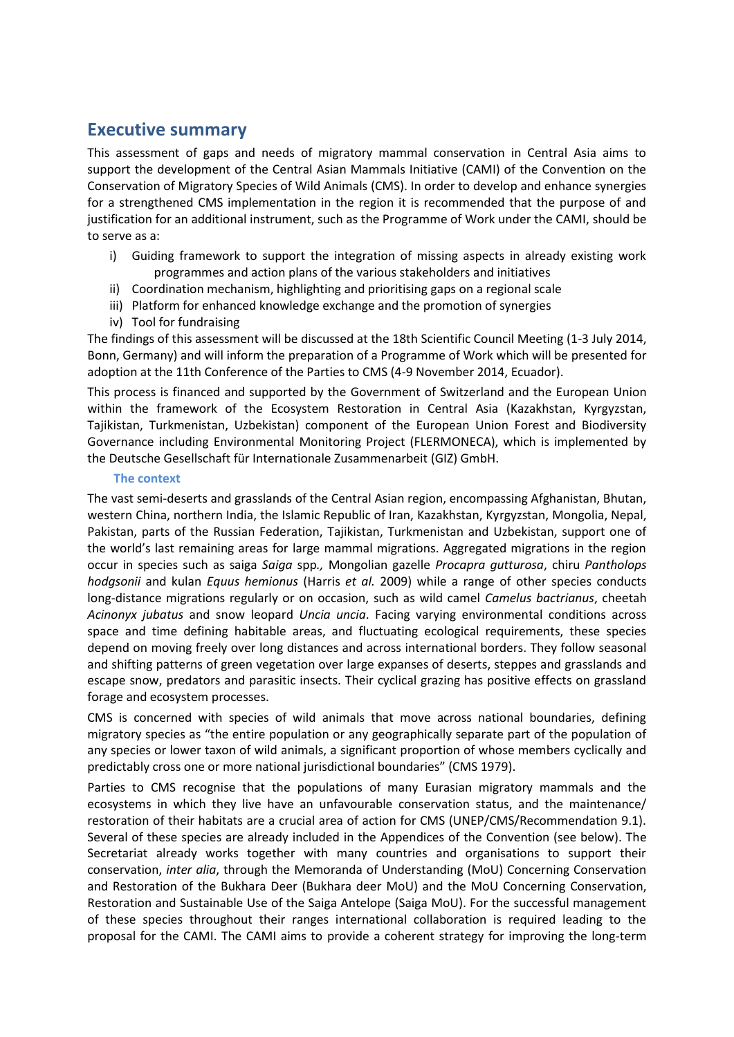# **Executive summary**

This assessment of gaps and needs of migratory mammal conservation in Central Asia aims to support the development of the Central Asian Mammals Initiative (CAMI) of the Convention on the Conservation of Migratory Species of Wild Animals (CMS). In order to develop and enhance synergies for a strengthened CMS implementation in the region it is recommended that the purpose of and justification for an additional instrument, such as the Programme of Work under the CAMI, should be to serve as a:

- i) Guiding framework to support the integration of missing aspects in already existing work programmes and action plans of the various stakeholders and initiatives
- ii) Coordination mechanism, highlighting and prioritising gaps on a regional scale
- iii) Platform for enhanced knowledge exchange and the promotion of synergies
- iv) Tool for fundraising

The findings of this assessment will be discussed at the 18th Scientific Council Meeting (1-3 July 2014, Bonn, Germany) and will inform the preparation of a Programme of Work which will be presented for adoption at the 11th Conference of the Parties to CMS (4-9 November 2014, Ecuador).

This process is financed and supported by the Government of Switzerland and the European Union within the framework of the Ecosystem Restoration in Central Asia (Kazakhstan, Kyrgyzstan, Tajikistan, Turkmenistan, Uzbekistan) component of the European Union Forest and Biodiversity Governance including Environmental Monitoring Project (FLERMONECA), which is implemented by the Deutsche Gesellschaft für Internationale Zusammenarbeit (GIZ) GmbH.

## **The context**

The vast semi-deserts and grasslands of the Central Asian region, encompassing Afghanistan, Bhutan, western China, northern India, the Islamic Republic of Iran, Kazakhstan, Kyrgyzstan, Mongolia, Nepal, Pakistan, parts of the Russian Federation, Tajikistan, Turkmenistan and Uzbekistan, support one of the world's last remaining areas for large mammal migrations. Aggregated migrations in the region occur in species such as saiga *Saiga* spp*.,* Mongolian gazelle *Procapra gutturosa*, chiru *Pantholops hodgsonii* and kulan *Equus hemionus* (Harris *et al.* 2009) while a range of other species conducts long-distance migrations regularly or on occasion, such as wild camel *Camelus bactrianus*, cheetah *Acinonyx jubatus* and snow leopard *Uncia uncia*. Facing varying environmental conditions across space and time defining habitable areas, and fluctuating ecological requirements, these species depend on moving freely over long distances and across international borders. They follow seasonal and shifting patterns of green vegetation over large expanses of deserts, steppes and grasslands and escape snow, predators and parasitic insects. Their cyclical grazing has positive effects on grassland forage and ecosystem processes.

CMS is concerned with species of wild animals that move across national boundaries, defining migratory species as "the entire population or any geographically separate part of the population of any species or lower taxon of wild animals, a significant proportion of whose members cyclically and predictably cross one or more national jurisdictional boundaries" (CMS 1979).

Parties to CMS recognise that the populations of many Eurasian migratory mammals and the ecosystems in which they live have an unfavourable conservation status, and the maintenance/ restoration of their habitats are a crucial area of action for CMS (UNEP/CMS/Recommendation 9.1). Several of these species are already included in the Appendices of the Convention (see below). The Secretariat already works together with many countries and organisations to support their conservation, *inter alia*, through the Memoranda of Understanding (MoU) Concerning Conservation and Restoration of the Bukhara Deer (Bukhara deer MoU) and the MoU Concerning Conservation, Restoration and Sustainable Use of the Saiga Antelope (Saiga MoU). For the successful management of these species throughout their ranges international collaboration is required leading to the proposal for the CAMI. The CAMI aims to provide a coherent strategy for improving the long-term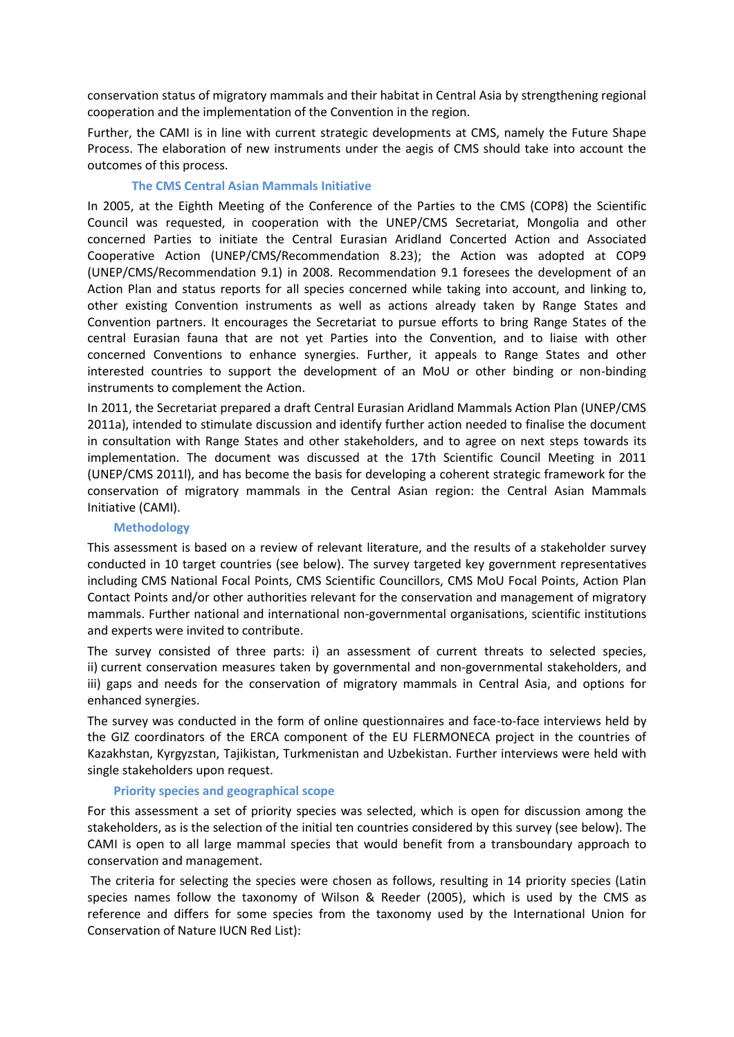conservation status of migratory mammals and their habitat in Central Asia by strengthening regional cooperation and the implementation of the Convention in the region.

Further, the CAMI is in line with current strategic developments at CMS, namely the Future Shape Process. The elaboration of new instruments under the aegis of CMS should take into account the outcomes of this process.

## **The CMS Central Asian Mammals Initiative**

In 2005, at the Eighth Meeting of the Conference of the Parties to the CMS (COP8) the Scientific Council was requested, in cooperation with the UNEP/CMS Secretariat, Mongolia and other concerned Parties to initiate the Central Eurasian Aridland Concerted Action and Associated Cooperative Action (UNEP/CMS/Recommendation 8.23); the Action was adopted at COP9 (UNEP/CMS/Recommendation 9.1) in 2008. Recommendation 9.1 foresees the development of an Action Plan and status reports for all species concerned while taking into account, and linking to, other existing Convention instruments as well as actions already taken by Range States and Convention partners. It encourages the Secretariat to pursue efforts to bring Range States of the central Eurasian fauna that are not yet Parties into the Convention, and to liaise with other concerned Conventions to enhance synergies. Further, it appeals to Range States and other interested countries to support the development of an MoU or other binding or non-binding instruments to complement the Action.

In 2011, the Secretariat prepared a draft Central Eurasian Aridland Mammals Action Plan (UNEP/CMS 2011a), intended to stimulate discussion and identify further action needed to finalise the document in consultation with Range States and other stakeholders, and to agree on next steps towards its implementation. The document was discussed at the 17th Scientific Council Meeting in 2011 (UNEP/CMS 2011l), and has become the basis for developing a coherent strategic framework for the conservation of migratory mammals in the Central Asian region: the Central Asian Mammals Initiative (CAMI).

## **Methodology**

This assessment is based on a review of relevant literature, and the results of a stakeholder survey conducted in 10 target countries (see below). The survey targeted key government representatives including CMS National Focal Points, CMS Scientific Councillors, CMS MoU Focal Points, Action Plan Contact Points and/or other authorities relevant for the conservation and management of migratory mammals. Further national and international non-governmental organisations, scientific institutions and experts were invited to contribute.

The survey consisted of three parts: i) an assessment of current threats to selected species, ii) current conservation measures taken by governmental and non-governmental stakeholders, and iii) gaps and needs for the conservation of migratory mammals in Central Asia, and options for enhanced synergies.

The survey was conducted in the form of online questionnaires and face-to-face interviews held by the GIZ coordinators of the ERCA component of the EU FLERMONECA project in the countries of Kazakhstan, Kyrgyzstan, Tajikistan, Turkmenistan and Uzbekistan. Further interviews were held with single stakeholders upon request.

## **Priority species and geographical scope**

For this assessment a set of priority species was selected, which is open for discussion among the stakeholders, as is the selection of the initial ten countries considered by this survey (see below). The CAMI is open to all large mammal species that would benefit from a transboundary approach to conservation and management.

The criteria for selecting the species were chosen as follows, resulting in 14 priority species (Latin species names follow the taxonomy of Wilson & Reeder (2005), which is used by the CMS as reference and differs for some species from the taxonomy used by the International Union for Conservation of Nature IUCN Red List):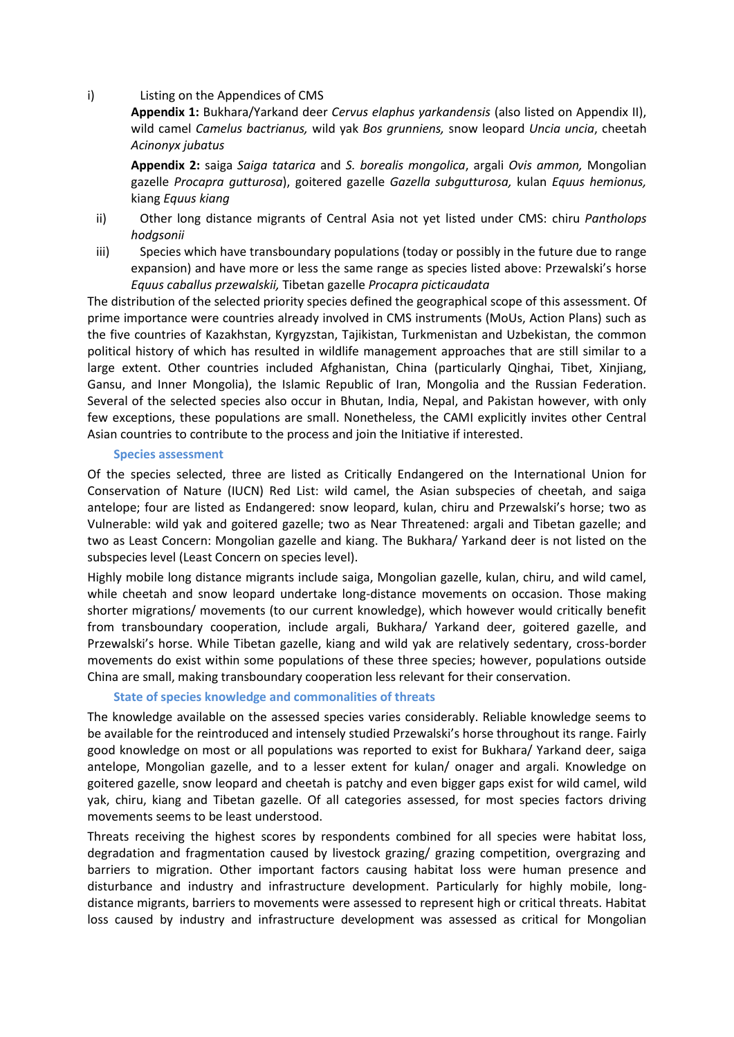#### i) Listing on the Appendices of CMS

**Appendix 1:** Bukhara/Yarkand deer *Cervus elaphus yarkandensis* (also listed on Appendix II), wild camel *Camelus bactrianus,* wild yak *Bos grunniens,* snow leopard *Uncia uncia*, cheetah *Acinonyx jubatus*

**Appendix 2:** saiga *Saiga tatarica* and *S. borealis mongolica*, argali *Ovis ammon,* Mongolian gazelle *Procapra gutturosa*), goitered gazelle *Gazella subgutturosa,* kulan *Equus hemionus,*  kiang *Equus kiang*

- ii) Other long distance migrants of Central Asia not yet listed under CMS: chiru *Pantholops hodgsonii*
- iii) Species which have transboundary populations (today or possibly in the future due to range expansion) and have more or less the same range as species listed above: Przewalski's horse *Equus caballus przewalskii,* Tibetan gazelle *Procapra picticaudata*

The distribution of the selected priority species defined the geographical scope of this assessment. Of prime importance were countries already involved in CMS instruments (MoUs, Action Plans) such as the five countries of Kazakhstan, Kyrgyzstan, Tajikistan, Turkmenistan and Uzbekistan, the common political history of which has resulted in wildlife management approaches that are still similar to a large extent. Other countries included Afghanistan, China (particularly Qinghai, Tibet, Xinjiang, Gansu, and Inner Mongolia), the Islamic Republic of Iran, Mongolia and the Russian Federation. Several of the selected species also occur in Bhutan, India, Nepal, and Pakistan however, with only few exceptions, these populations are small. Nonetheless, the CAMI explicitly invites other Central Asian countries to contribute to the process and join the Initiative if interested.

#### **Species assessment**

Of the species selected, three are listed as Critically Endangered on the International Union for Conservation of Nature (IUCN) Red List: wild camel, the Asian subspecies of cheetah, and saiga antelope; four are listed as Endangered: snow leopard, kulan, chiru and Przewalski's horse; two as Vulnerable: wild yak and goitered gazelle; two as Near Threatened: argali and Tibetan gazelle; and two as Least Concern: Mongolian gazelle and kiang. The Bukhara/ Yarkand deer is not listed on the subspecies level (Least Concern on species level).

Highly mobile long distance migrants include saiga, Mongolian gazelle, kulan, chiru, and wild camel, while cheetah and snow leopard undertake long-distance movements on occasion. Those making shorter migrations/ movements (to our current knowledge), which however would critically benefit from transboundary cooperation, include argali, Bukhara/ Yarkand deer, goitered gazelle, and Przewalski's horse. While Tibetan gazelle, kiang and wild yak are relatively sedentary, cross-border movements do exist within some populations of these three species; however, populations outside China are small, making transboundary cooperation less relevant for their conservation.

## **State of species knowledge and commonalities of threats**

The knowledge available on the assessed species varies considerably. Reliable knowledge seems to be available for the reintroduced and intensely studied Przewalski's horse throughout its range. Fairly good knowledge on most or all populations was reported to exist for Bukhara/ Yarkand deer, saiga antelope, Mongolian gazelle, and to a lesser extent for kulan/ onager and argali. Knowledge on goitered gazelle, snow leopard and cheetah is patchy and even bigger gaps exist for wild camel, wild yak, chiru, kiang and Tibetan gazelle. Of all categories assessed, for most species factors driving movements seems to be least understood.

Threats receiving the highest scores by respondents combined for all species were habitat loss, degradation and fragmentation caused by livestock grazing/ grazing competition, overgrazing and barriers to migration. Other important factors causing habitat loss were human presence and disturbance and industry and infrastructure development. Particularly for highly mobile, longdistance migrants, barriers to movements were assessed to represent high or critical threats. Habitat loss caused by industry and infrastructure development was assessed as critical for Mongolian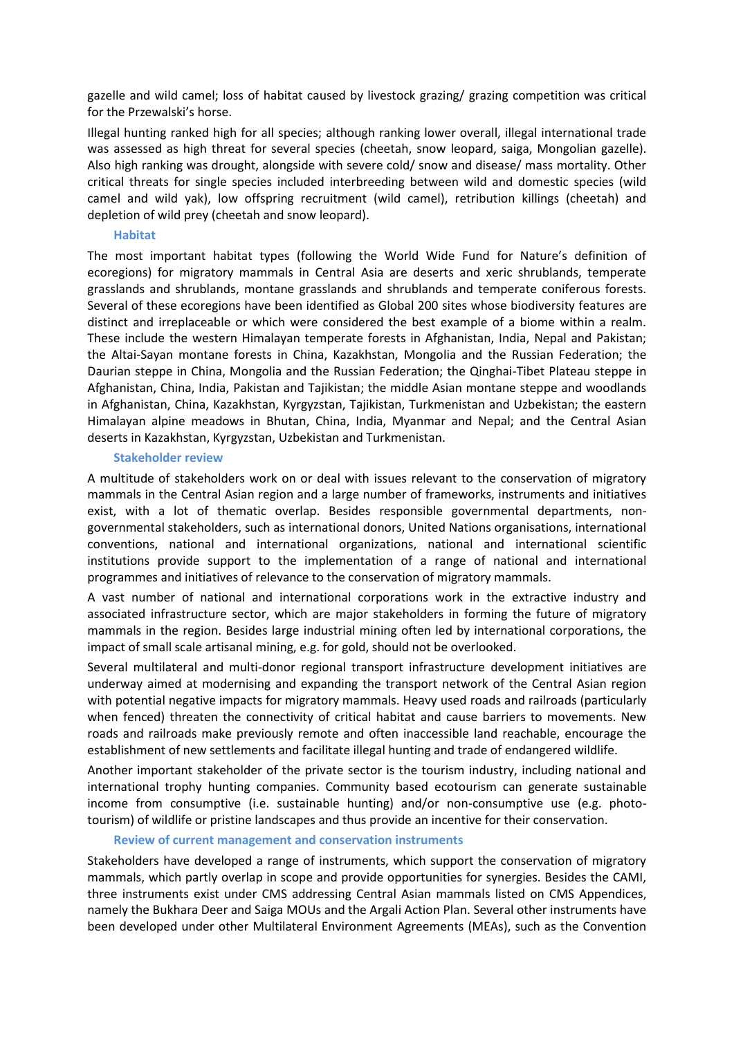gazelle and wild camel; loss of habitat caused by livestock grazing/ grazing competition was critical for the Przewalski's horse.

Illegal hunting ranked high for all species; although ranking lower overall, illegal international trade was assessed as high threat for several species (cheetah, snow leopard, saiga, Mongolian gazelle). Also high ranking was drought, alongside with severe cold/ snow and disease/ mass mortality. Other critical threats for single species included interbreeding between wild and domestic species (wild camel and wild yak), low offspring recruitment (wild camel), retribution killings (cheetah) and depletion of wild prey (cheetah and snow leopard).

#### **Habitat**

The most important habitat types (following the World Wide Fund for Nature's definition of ecoregions) for migratory mammals in Central Asia are deserts and xeric shrublands, temperate grasslands and shrublands, montane grasslands and shrublands and temperate coniferous forests. Several of these ecoregions have been identified as Global 200 sites whose biodiversity features are distinct and irreplaceable or which were considered the best example of a biome within a realm. These include the western Himalayan temperate forests in Afghanistan, India, Nepal and Pakistan; the Altai-Sayan montane forests in China, Kazakhstan, Mongolia and the Russian Federation; the Daurian steppe in China, Mongolia and the Russian Federation; the Qinghai-Tibet Plateau steppe in Afghanistan, China, India, Pakistan and Tajikistan; the middle Asian montane steppe and woodlands in Afghanistan, China, Kazakhstan, Kyrgyzstan, Tajikistan, Turkmenistan and Uzbekistan; the eastern Himalayan alpine meadows in Bhutan, China, India, Myanmar and Nepal; and the Central Asian deserts in Kazakhstan, Kyrgyzstan, Uzbekistan and Turkmenistan.

#### **Stakeholder review**

A multitude of stakeholders work on or deal with issues relevant to the conservation of migratory mammals in the Central Asian region and a large number of frameworks, instruments and initiatives exist, with a lot of thematic overlap. Besides responsible governmental departments, nongovernmental stakeholders, such as international donors, United Nations organisations, international conventions, national and international organizations, national and international scientific institutions provide support to the implementation of a range of national and international programmes and initiatives of relevance to the conservation of migratory mammals.

A vast number of national and international corporations work in the extractive industry and associated infrastructure sector, which are major stakeholders in forming the future of migratory mammals in the region. Besides large industrial mining often led by international corporations, the impact of small scale artisanal mining, e.g. for gold, should not be overlooked.

Several multilateral and multi-donor regional transport infrastructure development initiatives are underway aimed at modernising and expanding the transport network of the Central Asian region with potential negative impacts for migratory mammals. Heavy used roads and railroads (particularly when fenced) threaten the connectivity of critical habitat and cause barriers to movements. New roads and railroads make previously remote and often inaccessible land reachable, encourage the establishment of new settlements and facilitate illegal hunting and trade of endangered wildlife.

Another important stakeholder of the private sector is the tourism industry, including national and international trophy hunting companies. Community based ecotourism can generate sustainable income from consumptive (i.e. sustainable hunting) and/or non-consumptive use (e.g. phototourism) of wildlife or pristine landscapes and thus provide an incentive for their conservation.

## **Review of current management and conservation instruments**

Stakeholders have developed a range of instruments, which support the conservation of migratory mammals, which partly overlap in scope and provide opportunities for synergies. Besides the CAMI, three instruments exist under CMS addressing Central Asian mammals listed on CMS Appendices, namely the Bukhara Deer and Saiga MOUs and the Argali Action Plan. Several other instruments have been developed under other Multilateral Environment Agreements (MEAs), such as the Convention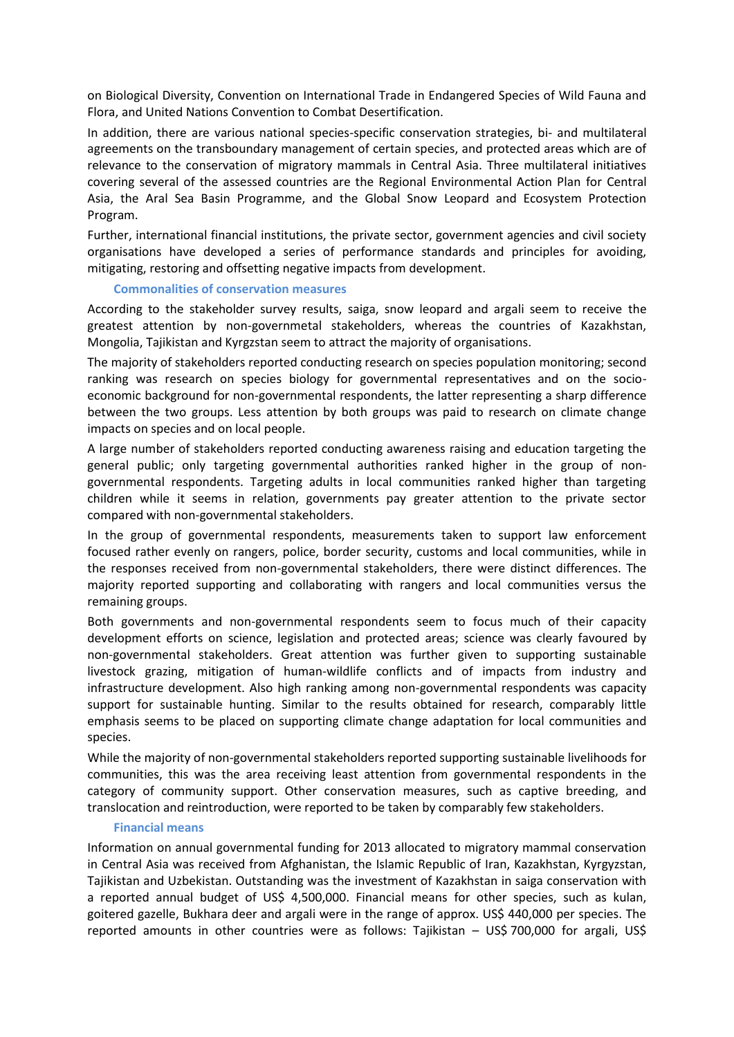on Biological Diversity, Convention on International Trade in Endangered Species of Wild Fauna and Flora, and United Nations Convention to Combat Desertification.

In addition, there are various national species-specific conservation strategies, bi- and multilateral agreements on the transboundary management of certain species, and protected areas which are of relevance to the conservation of migratory mammals in Central Asia. Three multilateral initiatives covering several of the assessed countries are the Regional Environmental Action Plan for Central Asia, the Aral Sea Basin Programme, and the Global Snow Leopard and Ecosystem Protection Program.

Further, international financial institutions, the private sector, government agencies and civil society organisations have developed a series of performance standards and principles for avoiding, mitigating, restoring and offsetting negative impacts from development.

#### **Commonalities of conservation measures**

According to the stakeholder survey results, saiga, snow leopard and argali seem to receive the greatest attention by non-governmetal stakeholders, whereas the countries of Kazakhstan, Mongolia, Tajikistan and Kyrgzstan seem to attract the majority of organisations.

The majority of stakeholders reported conducting research on species population monitoring; second ranking was research on species biology for governmental representatives and on the socioeconomic background for non-governmental respondents, the latter representing a sharp difference between the two groups. Less attention by both groups was paid to research on climate change impacts on species and on local people.

A large number of stakeholders reported conducting awareness raising and education targeting the general public; only targeting governmental authorities ranked higher in the group of nongovernmental respondents. Targeting adults in local communities ranked higher than targeting children while it seems in relation, governments pay greater attention to the private sector compared with non-governmental stakeholders.

In the group of governmental respondents, measurements taken to support law enforcement focused rather evenly on rangers, police, border security, customs and local communities, while in the responses received from non-governmental stakeholders, there were distinct differences. The majority reported supporting and collaborating with rangers and local communities versus the remaining groups.

Both governments and non-governmental respondents seem to focus much of their capacity development efforts on science, legislation and protected areas; science was clearly favoured by non-governmental stakeholders. Great attention was further given to supporting sustainable livestock grazing, mitigation of human-wildlife conflicts and of impacts from industry and infrastructure development. Also high ranking among non-governmental respondents was capacity support for sustainable hunting. Similar to the results obtained for research, comparably little emphasis seems to be placed on supporting climate change adaptation for local communities and species.

While the majority of non-governmental stakeholders reported supporting sustainable livelihoods for communities, this was the area receiving least attention from governmental respondents in the category of community support. Other conservation measures, such as captive breeding, and translocation and reintroduction, were reported to be taken by comparably few stakeholders.

#### **Financial means**

Information on annual governmental funding for 2013 allocated to migratory mammal conservation in Central Asia was received from Afghanistan, the Islamic Republic of Iran, Kazakhstan, Kyrgyzstan, Tajikistan and Uzbekistan. Outstanding was the investment of Kazakhstan in saiga conservation with a reported annual budget of US\$ 4,500,000. Financial means for other species, such as kulan, goitered gazelle, Bukhara deer and argali were in the range of approx. US\$ 440,000 per species. The reported amounts in other countries were as follows: Tajikistan – US\$ 700,000 for argali, US\$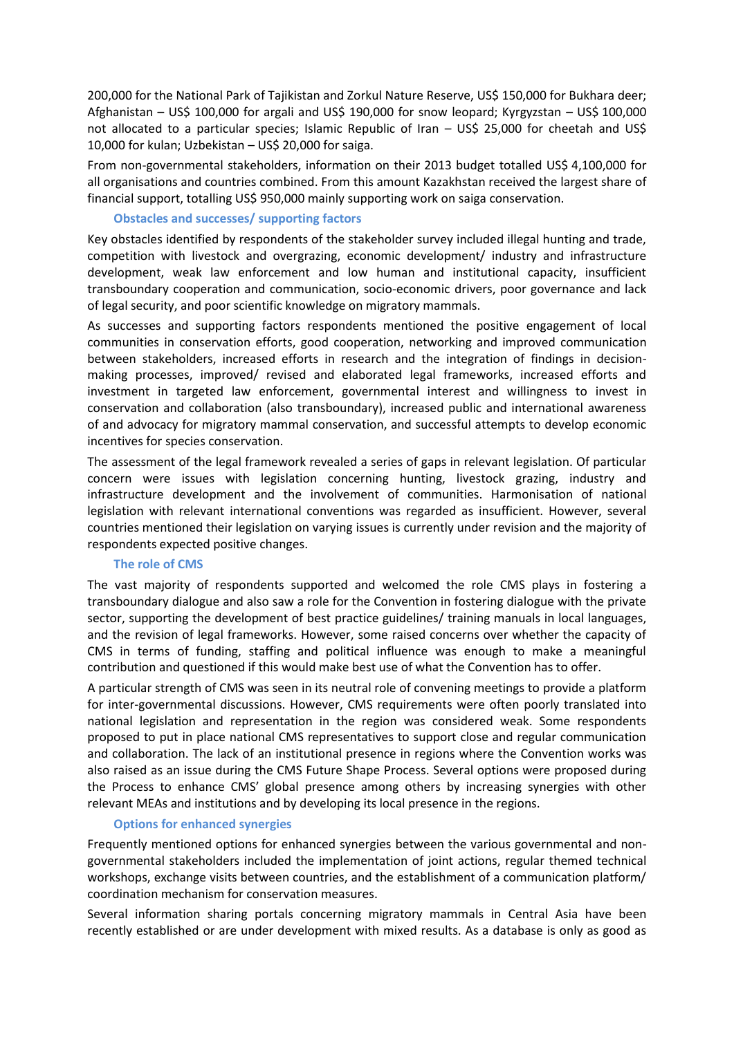200,000 for the National Park of Tajikistan and Zorkul Nature Reserve, US\$ 150,000 for Bukhara deer; Afghanistan – US\$ 100,000 for argali and US\$ 190,000 for snow leopard; Kyrgyzstan – US\$ 100,000 not allocated to a particular species; Islamic Republic of Iran – US\$ 25,000 for cheetah and US\$ 10,000 for kulan; Uzbekistan – US\$ 20,000 for saiga.

From non-governmental stakeholders, information on their 2013 budget totalled US\$ 4,100,000 for all organisations and countries combined. From this amount Kazakhstan received the largest share of financial support, totalling US\$ 950,000 mainly supporting work on saiga conservation.

#### **Obstacles and successes/ supporting factors**

Key obstacles identified by respondents of the stakeholder survey included illegal hunting and trade, competition with livestock and overgrazing, economic development/ industry and infrastructure development, weak law enforcement and low human and institutional capacity, insufficient transboundary cooperation and communication, socio-economic drivers, poor governance and lack of legal security, and poor scientific knowledge on migratory mammals.

As successes and supporting factors respondents mentioned the positive engagement of local communities in conservation efforts, good cooperation, networking and improved communication between stakeholders, increased efforts in research and the integration of findings in decisionmaking processes, improved/ revised and elaborated legal frameworks, increased efforts and investment in targeted law enforcement, governmental interest and willingness to invest in conservation and collaboration (also transboundary), increased public and international awareness of and advocacy for migratory mammal conservation, and successful attempts to develop economic incentives for species conservation.

The assessment of the legal framework revealed a series of gaps in relevant legislation. Of particular concern were issues with legislation concerning hunting, livestock grazing, industry and infrastructure development and the involvement of communities. Harmonisation of national legislation with relevant international conventions was regarded as insufficient. However, several countries mentioned their legislation on varying issues is currently under revision and the majority of respondents expected positive changes.

## **The role of CMS**

The vast majority of respondents supported and welcomed the role CMS plays in fostering a transboundary dialogue and also saw a role for the Convention in fostering dialogue with the private sector, supporting the development of best practice guidelines/ training manuals in local languages, and the revision of legal frameworks. However, some raised concerns over whether the capacity of CMS in terms of funding, staffing and political influence was enough to make a meaningful contribution and questioned if this would make best use of what the Convention has to offer.

A particular strength of CMS was seen in its neutral role of convening meetings to provide a platform for inter-governmental discussions. However, CMS requirements were often poorly translated into national legislation and representation in the region was considered weak. Some respondents proposed to put in place national CMS representatives to support close and regular communication and collaboration. The lack of an institutional presence in regions where the Convention works was also raised as an issue during the CMS Future Shape Process. Several options were proposed during the Process to enhance CMS' global presence among others by increasing synergies with other relevant MEAs and institutions and by developing its local presence in the regions.

## **Options for enhanced synergies**

Frequently mentioned options for enhanced synergies between the various governmental and nongovernmental stakeholders included the implementation of joint actions, regular themed technical workshops, exchange visits between countries, and the establishment of a communication platform/ coordination mechanism for conservation measures.

Several information sharing portals concerning migratory mammals in Central Asia have been recently established or are under development with mixed results. As a database is only as good as